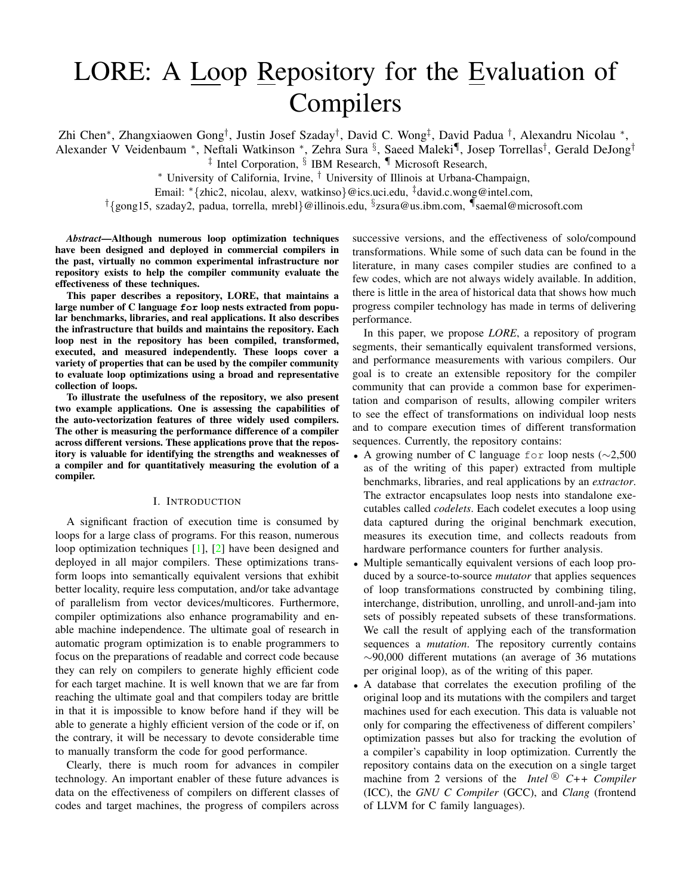# LORE: A Loop Repository for the Evaluation of Compilers

Zhi Chen\*, Zhangxiaowen Gong<sup>†</sup>, Justin Josef Szaday<sup>†</sup>, David C. Wong<sup>‡</sup>, David Padua <sup>†</sup>, Alexandru Nicolau \*, Alexander V Veidenbaum <sup>∗</sup>, Neftali Watkinson <sup>∗</sup>, Zehra Sura §, Saeed Maleki<sup>¶</sup>, Josep Torrellas<sup>†</sup>, Gerald DeJong<sup>†</sup><br><sup>‡</sup> Intel Corporation, § IBM Research, ¶ Microsoft Research,

<sup>∗</sup> University of California, Irvine, † University of Illinois at Urbana-Champaign,

Email: <sup>∗</sup>{zhic2, nicolau, alexv, watkinso}@ics.uci.edu, ‡david.c.wong@intel.com,

†{gong15, szaday2, padua, torrella, mrebl}@illinois.edu, § zsura@us.ibm.com, ¶saemal@microsoft.com

*Abstract*—Although numerous loop optimization techniques have been designed and deployed in commercial compilers in the past, virtually no common experimental infrastructure nor repository exists to help the compiler community evaluate the effectiveness of these techniques.

This paper describes a repository, LORE, that maintains a large number of C language **for** loop nests extracted from popular benchmarks, libraries, and real applications. It also describes the infrastructure that builds and maintains the repository. Each loop nest in the repository has been compiled, transformed, executed, and measured independently. These loops cover a variety of properties that can be used by the compiler community to evaluate loop optimizations using a broad and representative collection of loops.

To illustrate the usefulness of the repository, we also present two example applications. One is assessing the capabilities of the auto-vectorization features of three widely used compilers. The other is measuring the performance difference of a compiler across different versions. These applications prove that the repository is valuable for identifying the strengths and weaknesses of a compiler and for quantitatively measuring the evolution of a compiler.

#### I. INTRODUCTION

A significant fraction of execution time is consumed by loops for a large class of programs. For this reason, numerous loop optimization techniques [\[1\]](#page-9-0), [\[2\]](#page-9-1) have been designed and deployed in all major compilers. These optimizations transform loops into semantically equivalent versions that exhibit better locality, require less computation, and/or take advantage of parallelism from vector devices/multicores. Furthermore, compiler optimizations also enhance programability and enable machine independence. The ultimate goal of research in automatic program optimization is to enable programmers to focus on the preparations of readable and correct code because they can rely on compilers to generate highly efficient code for each target machine. It is well known that we are far from reaching the ultimate goal and that compilers today are brittle in that it is impossible to know before hand if they will be able to generate a highly efficient version of the code or if, on the contrary, it will be necessary to devote considerable time to manually transform the code for good performance.

Clearly, there is much room for advances in compiler technology. An important enabler of these future advances is data on the effectiveness of compilers on different classes of codes and target machines, the progress of compilers across

successive versions, and the effectiveness of solo/compound transformations. While some of such data can be found in the literature, in many cases compiler studies are confined to a few codes, which are not always widely available. In addition, there is little in the area of historical data that shows how much progress compiler technology has made in terms of delivering performance.

In this paper, we propose *LORE*, a repository of program segments, their semantically equivalent transformed versions, and performance measurements with various compilers. Our goal is to create an extensible repository for the compiler community that can provide a common base for experimentation and comparison of results, allowing compiler writers to see the effect of transformations on individual loop nests and to compare execution times of different transformation sequences. Currently, the repository contains:

- A growing number of C language for loop nests ( $\sim$ 2,500 as of the writing of this paper) extracted from multiple benchmarks, libraries, and real applications by an *extractor*. The extractor encapsulates loop nests into standalone executables called *codelets*. Each codelet executes a loop using data captured during the original benchmark execution, measures its execution time, and collects readouts from hardware performance counters for further analysis.
- Multiple semantically equivalent versions of each loop produced by a source-to-source *mutator* that applies sequences of loop transformations constructed by combining tiling, interchange, distribution, unrolling, and unroll-and-jam into sets of possibly repeated subsets of these transformations. We call the result of applying each of the transformation sequences a *mutation*. The repository currently contains ∼90,000 different mutations (an average of 36 mutations per original loop), as of the writing of this paper.
- A database that correlates the execution profiling of the original loop and its mutations with the compilers and target machines used for each execution. This data is valuable not only for comparing the effectiveness of different compilers' optimization passes but also for tracking the evolution of a compiler's capability in loop optimization. Currently the repository contains data on the execution on a single target machine from 2 versions of the *Intel*  $\otimes$  C++ *Compiler* (ICC), the *GNU C Compiler* (GCC), and *Clang* (frontend of LLVM for C family languages).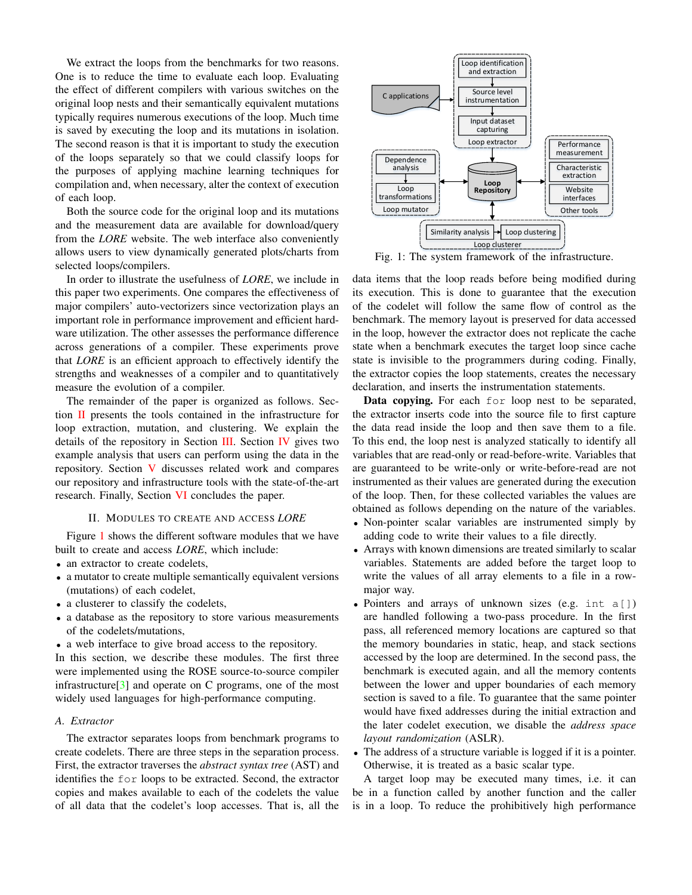We extract the loops from the benchmarks for two reasons. One is to reduce the time to evaluate each loop. Evaluating the effect of different compilers with various switches on the original loop nests and their semantically equivalent mutations typically requires numerous executions of the loop. Much time is saved by executing the loop and its mutations in isolation. The second reason is that it is important to study the execution of the loops separately so that we could classify loops for the purposes of applying machine learning techniques for compilation and, when necessary, alter the context of execution of each loop.

Both the source code for the original loop and its mutations and the measurement data are available for download/query from the *LORE* website. The web interface also conveniently allows users to view dynamically generated plots/charts from selected loops/compilers.

In order to illustrate the usefulness of *LORE*, we include in this paper two experiments. One compares the effectiveness of major compilers' auto-vectorizers since vectorization plays an important role in performance improvement and efficient hardware utilization. The other assesses the performance difference across generations of a compiler. These experiments prove that *LORE* is an efficient approach to effectively identify the strengths and weaknesses of a compiler and to quantitatively measure the evolution of a compiler.

The remainder of the paper is organized as follows. Section [II](#page-1-0) presents the tools contained in the infrastructure for loop extraction, mutation, and clustering. We explain the details of the repository in Section  $III$ . Section [IV](#page-5-0) gives two example analysis that users can perform using the data in the repository. Section [V](#page-8-0) discusses related work and compares our repository and infrastructure tools with the state-of-the-art research. Finally, Section [VI](#page-9-2) concludes the paper.

#### II. MODULES TO CREATE AND ACCESS *LORE*

<span id="page-1-0"></span>Figure [1](#page-1-1) shows the different software modules that we have built to create and access *LORE*, which include:

- an extractor to create codelets,
- a mutator to create multiple semantically equivalent versions (mutations) of each codelet,
- a clusterer to classify the codelets,
- a database as the repository to store various measurements of the codelets/mutations,
- a web interface to give broad access to the repository.

In this section, we describe these modules. The first three were implemented using the ROSE source-to-source compiler infrastructure[\[3\]](#page-9-3) and operate on C programs, one of the most widely used languages for high-performance computing.

### <span id="page-1-2"></span>*A. Extractor*

The extractor separates loops from benchmark programs to create codelets. There are three steps in the separation process. First, the extractor traverses the *abstract syntax tree* (AST) and identifies the for loops to be extracted. Second, the extractor copies and makes available to each of the codelets the value of all data that the codelet's loop accesses. That is, all the

<span id="page-1-1"></span>

Fig. 1: The system framework of the infrastructure.

data items that the loop reads before being modified during its execution. This is done to guarantee that the execution of the codelet will follow the same flow of control as the benchmark. The memory layout is preserved for data accessed in the loop, however the extractor does not replicate the cache state when a benchmark executes the target loop since cache state is invisible to the programmers during coding. Finally, the extractor copies the loop statements, creates the necessary declaration, and inserts the instrumentation statements.

Data copying. For each for loop nest to be separated, the extractor inserts code into the source file to first capture the data read inside the loop and then save them to a file. To this end, the loop nest is analyzed statically to identify all variables that are read-only or read-before-write. Variables that are guaranteed to be write-only or write-before-read are not instrumented as their values are generated during the execution of the loop. Then, for these collected variables the values are obtained as follows depending on the nature of the variables.

- Non-pointer scalar variables are instrumented simply by adding code to write their values to a file directly.
- Arrays with known dimensions are treated similarly to scalar variables. Statements are added before the target loop to write the values of all array elements to a file in a rowmajor way.
- Pointers and arrays of unknown sizes (e.g. int a[]) are handled following a two-pass procedure. In the first pass, all referenced memory locations are captured so that the memory boundaries in static, heap, and stack sections accessed by the loop are determined. In the second pass, the benchmark is executed again, and all the memory contents between the lower and upper boundaries of each memory section is saved to a file. To guarantee that the same pointer would have fixed addresses during the initial extraction and the later codelet execution, we disable the *address space layout randomization* (ASLR).
- The address of a structure variable is logged if it is a pointer. Otherwise, it is treated as a basic scalar type.

A target loop may be executed many times, i.e. it can be in a function called by another function and the caller is in a loop. To reduce the prohibitively high performance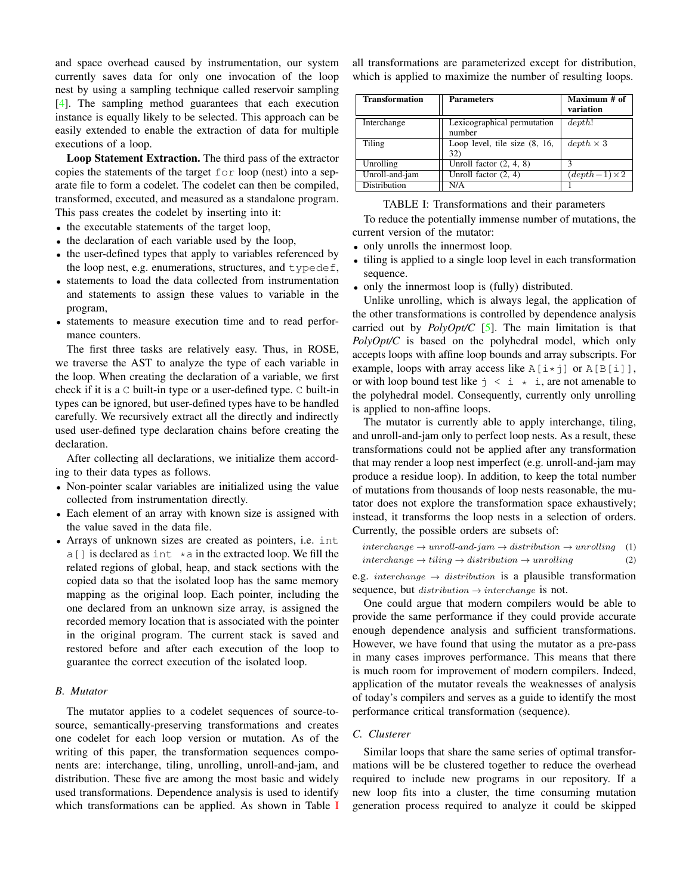and space overhead caused by instrumentation, our system currently saves data for only one invocation of the loop nest by using a sampling technique called reservoir sampling [\[4\]](#page-9-4). The sampling method guarantees that each execution instance is equally likely to be selected. This approach can be easily extended to enable the extraction of data for multiple executions of a loop.

Loop Statement Extraction. The third pass of the extractor copies the statements of the target for loop (nest) into a separate file to form a codelet. The codelet can then be compiled, transformed, executed, and measured as a standalone program. This pass creates the codelet by inserting into it:

- the executable statements of the target loop,
- the declaration of each variable used by the loop,
- the user-defined types that apply to variables referenced by the loop nest, e.g. enumerations, structures, and typedef,
- statements to load the data collected from instrumentation and statements to assign these values to variable in the program,
- statements to measure execution time and to read performance counters.

The first three tasks are relatively easy. Thus, in ROSE, we traverse the AST to analyze the type of each variable in the loop. When creating the declaration of a variable, we first check if it is a C built-in type or a user-defined type. C built-in types can be ignored, but user-defined types have to be handled carefully. We recursively extract all the directly and indirectly used user-defined type declaration chains before creating the declaration.

After collecting all declarations, we initialize them according to their data types as follows.

- Non-pointer scalar variables are initialized using the value collected from instrumentation directly.
- Each element of an array with known size is assigned with the value saved in the data file.
- Arrays of unknown sizes are created as pointers, i.e. int a  $\lceil \cdot \rceil$  is declared as int  $\star$  a in the extracted loop. We fill the related regions of global, heap, and stack sections with the copied data so that the isolated loop has the same memory mapping as the original loop. Each pointer, including the one declared from an unknown size array, is assigned the recorded memory location that is associated with the pointer in the original program. The current stack is saved and restored before and after each execution of the loop to guarantee the correct execution of the isolated loop.

### *B. Mutator*

The mutator applies to a codelet sequences of source-tosource, semantically-preserving transformations and creates one codelet for each loop version or mutation. As of the writing of this paper, the transformation sequences components are: interchange, tiling, unrolling, unroll-and-jam, and distribution. These five are among the most basic and widely used transformations. Dependence analysis is used to identify which transformations can be applied. As shown in Table [I](#page-2-0) all transformations are parameterized except for distribution, which is applied to maximize the number of resulting loops.

<span id="page-2-0"></span>

| <b>Transformation</b> | <b>Parameters</b>                                 | Maximum # of<br>variation |
|-----------------------|---------------------------------------------------|---------------------------|
| Interchange           | Lexicographical permutation<br>number             | depth!                    |
| Tiling                | Loop level, tile size $\overline{(8, 16)}$<br>32) | $depth \times 3$          |
| Unrolling             | Unroll factor $(2, 4, 8)$                         |                           |
| Unroll-and-jam        | Unroll factor $(2, 4)$                            | $(depth-1) \times 2$      |
| Distribution          | N/A                                               |                           |

| TABLE I: Transformations and their parameters |  |  |
|-----------------------------------------------|--|--|
|-----------------------------------------------|--|--|

To reduce the potentially immense number of mutations, the current version of the mutator:

- only unrolls the innermost loop.
- tiling is applied to a single loop level in each transformation sequence.
- only the innermost loop is (fully) distributed.

Unlike unrolling, which is always legal, the application of the other transformations is controlled by dependence analysis carried out by *PolyOpt/C* [\[5\]](#page-9-5). The main limitation is that *PolyOpt/C* is based on the polyhedral model, which only accepts loops with affine loop bounds and array subscripts. For example, loops with array access like  $A[i \star j]$  or  $A[B[i]]$ , or with loop bound test like  $j \leq i \neq j$ , are not amenable to the polyhedral model. Consequently, currently only unrolling is applied to non-affine loops.

The mutator is currently able to apply interchange, tiling, and unroll-and-jam only to perfect loop nests. As a result, these transformations could not be applied after any transformation that may render a loop nest imperfect (e.g. unroll-and-jam may produce a residue loop). In addition, to keep the total number of mutations from thousands of loop nests reasonable, the mutator does not explore the transformation space exhaustively; instead, it transforms the loop nests in a selection of orders. Currently, the possible orders are subsets of:

```
interchange \rightarrow unroll-and-jam \rightarrow distribution \rightarrow unrolling (1)
interchange \rightarrow tiling \rightarrow distribution \rightarrow unrolling (2)
```
e.g. interchange  $\rightarrow$  distribution is a plausible transformation sequence, but *distribution*  $\rightarrow$  *interchange* is not.

One could argue that modern compilers would be able to provide the same performance if they could provide accurate enough dependence analysis and sufficient transformations. However, we have found that using the mutator as a pre-pass in many cases improves performance. This means that there is much room for improvement of modern compilers. Indeed, application of the mutator reveals the weaknesses of analysis of today's compilers and serves as a guide to identify the most performance critical transformation (sequence).

## *C. Clusterer*

Similar loops that share the same series of optimal transformations will be be clustered together to reduce the overhead required to include new programs in our repository. If a new loop fits into a cluster, the time consuming mutation generation process required to analyze it could be skipped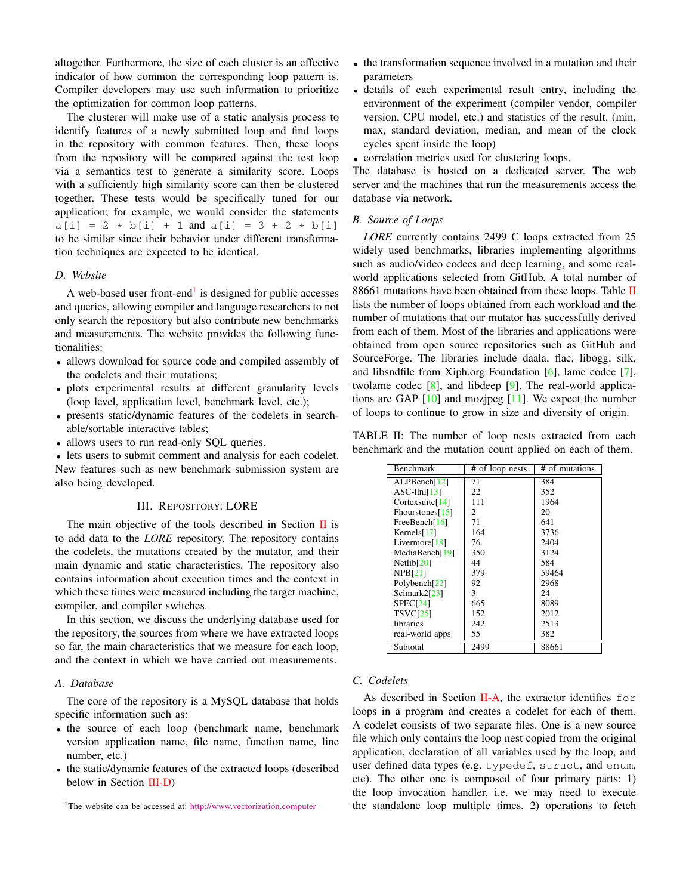altogether. Furthermore, the size of each cluster is an effective indicator of how common the corresponding loop pattern is. Compiler developers may use such information to prioritize the optimization for common loop patterns.

The clusterer will make use of a static analysis process to identify features of a newly submitted loop and find loops in the repository with common features. Then, these loops from the repository will be compared against the test loop via a semantics test to generate a similarity score. Loops with a sufficiently high similarity score can then be clustered together. These tests would be specifically tuned for our application; for example, we would consider the statements  $a[i] = 2 * b[i] + 1$  and  $a[i] = 3 + 2 * b[i]$ to be similar since their behavior under different transformation techniques are expected to be identical.

### *D. Website*

A web-based user front-end<sup>[1](#page-3-1)</sup> is designed for public accesses and queries, allowing compiler and language researchers to not only search the repository but also contribute new benchmarks and measurements. The website provides the following functionalities:

- allows download for source code and compiled assembly of the codelets and their mutations;
- plots experimental results at different granularity levels (loop level, application level, benchmark level, etc.);
- presents static/dynamic features of the codelets in searchable/sortable interactive tables;
- allows users to run read-only SQL queries.

• lets users to submit comment and analysis for each codelet. New features such as new benchmark submission system are also being developed.

#### III. REPOSITORY: LORE

<span id="page-3-0"></span>The main objective of the tools described in Section  $\Pi$  is to add data to the *LORE* repository. The repository contains the codelets, the mutations created by the mutator, and their main dynamic and static characteristics. The repository also contains information about execution times and the context in which these times were measured including the target machine, compiler, and compiler switches.

In this section, we discuss the underlying database used for the repository, the sources from where we have extracted loops so far, the main characteristics that we measure for each loop, and the context in which we have carried out measurements.

## *A. Database*

The core of the repository is a MySQL database that holds specific information such as:

- the source of each loop (benchmark name, benchmark version application name, file name, function name, line number, etc.)
- the static/dynamic features of the extracted loops (described below in Section [III-D\)](#page-4-0)

<span id="page-3-1"></span><sup>1</sup>The website can be accessed at: <http://www.vectorization.computer>

- the transformation sequence involved in a mutation and their parameters
- details of each experimental result entry, including the environment of the experiment (compiler vendor, compiler version, CPU model, etc.) and statistics of the result. (min, max, standard deviation, median, and mean of the clock cycles spent inside the loop)
- correlation metrics used for clustering loops.

The database is hosted on a dedicated server. The web server and the machines that run the measurements access the database via network.

#### *B. Source of Loops*

*LORE* currently contains 2499 C loops extracted from 25 widely used benchmarks, libraries implementing algorithms such as audio/video codecs and deep learning, and some realworld applications selected from GitHub. A total number of 88661 mutations have been obtained from these loops. Table [II](#page-3-2) lists the number of loops obtained from each workload and the number of mutations that our mutator has successfully derived from each of them. Most of the libraries and applications were obtained from open source repositories such as GitHub and SourceForge. The libraries include daala, flac, libogg, silk, and libsndfile from Xiph.org Foundation [\[6\]](#page-9-6), lame codec [\[7\]](#page-9-7), twolame codec  $[8]$ , and libdeep  $[9]$ . The real-world applications are GAP  $[10]$  and mozipeg  $[11]$ . We expect the number of loops to continue to grow in size and diversity of origin.

<span id="page-3-2"></span>TABLE II: The number of loop nests extracted from each benchmark and the mutation count applied on each of them.

| <b>Benchmark</b>           | # of loop nests | # of mutations |
|----------------------------|-----------------|----------------|
| ALPBench[12]               | 71              | 384            |
| $ASC$ -llnl[13]            | 22              | 352            |
| Cortexsuite[14]            | 111             | 1964           |
| Fhourstones [ $15$ ]       | 2               | 20             |
| FreeBench[16]              | 71              | 641            |
| Kernels $[17]$             | 164             | 3736           |
| Livermore $[18]$           | 76              | 2404           |
| MediaBench <sup>[19]</sup> | 350             | 3124           |
| Netlib[20]                 | 44              | 584            |
| <b>NPB[21]</b>             | 379             | 59464          |
| Polybench <sup>[22]</sup>  | 92              | 2968           |
| Scimark2[23]               | 3               | 24             |
| SPEC[24]                   | 665             | 8089           |
| <b>TSVC[25]</b>            | 152             | 2012           |
| libraries                  | 242             | 2513           |
| real-world apps            | 55              | 382            |
| Subtotal                   | 2499            | 88661          |

## *C. Codelets*

As described in Section [II-A,](#page-1-2) the extractor identifies for loops in a program and creates a codelet for each of them. A codelet consists of two separate files. One is a new source file which only contains the loop nest copied from the original application, declaration of all variables used by the loop, and user defined data types (e.g. typedef, struct, and enum, etc). The other one is composed of four primary parts: 1) the loop invocation handler, i.e. we may need to execute the standalone loop multiple times, 2) operations to fetch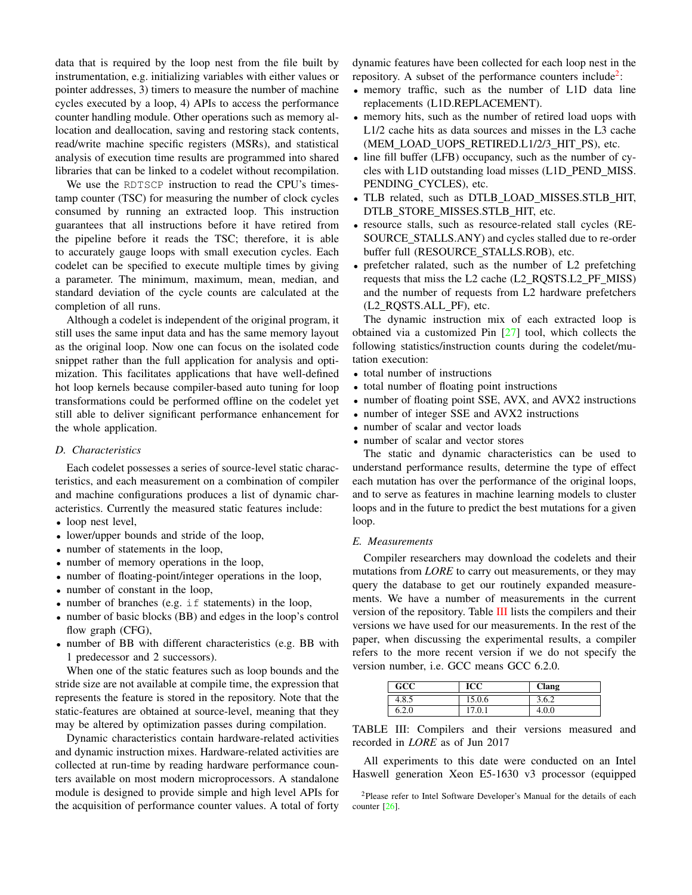data that is required by the loop nest from the file built by instrumentation, e.g. initializing variables with either values or pointer addresses, 3) timers to measure the number of machine cycles executed by a loop, 4) APIs to access the performance counter handling module. Other operations such as memory allocation and deallocation, saving and restoring stack contents, read/write machine specific registers (MSRs), and statistical analysis of execution time results are programmed into shared libraries that can be linked to a codelet without recompilation.

We use the RDTSCP instruction to read the CPU's timestamp counter (TSC) for measuring the number of clock cycles consumed by running an extracted loop. This instruction guarantees that all instructions before it have retired from the pipeline before it reads the TSC; therefore, it is able to accurately gauge loops with small execution cycles. Each codelet can be specified to execute multiple times by giving a parameter. The minimum, maximum, mean, median, and standard deviation of the cycle counts are calculated at the completion of all runs.

Although a codelet is independent of the original program, it still uses the same input data and has the same memory layout as the original loop. Now one can focus on the isolated code snippet rather than the full application for analysis and optimization. This facilitates applications that have well-defined hot loop kernels because compiler-based auto tuning for loop transformations could be performed offline on the codelet yet still able to deliver significant performance enhancement for the whole application.

## <span id="page-4-0"></span>*D. Characteristics*

Each codelet possesses a series of source-level static characteristics, and each measurement on a combination of compiler and machine configurations produces a list of dynamic characteristics. Currently the measured static features include:

- loop nest level,
- lower/upper bounds and stride of the loop,
- number of statements in the loop,
- number of memory operations in the loop,
- number of floating-point/integer operations in the loop,
- number of constant in the loop,
- number of branches (e.g.  $if$  statements) in the loop,
- number of basic blocks (BB) and edges in the loop's control flow graph (CFG),
- number of BB with different characteristics (e.g. BB with 1 predecessor and 2 successors).

When one of the static features such as loop bounds and the stride size are not available at compile time, the expression that represents the feature is stored in the repository. Note that the static-features are obtained at source-level, meaning that they may be altered by optimization passes during compilation.

Dynamic characteristics contain hardware-related activities and dynamic instruction mixes. Hardware-related activities are collected at run-time by reading hardware performance counters available on most modern microprocessors. A standalone module is designed to provide simple and high level APIs for the acquisition of performance counter values. A total of forty dynamic features have been collected for each loop nest in the repository. A subset of the performance counters include<sup>[2](#page-4-1)</sup>:

- memory traffic, such as the number of L1D data line replacements (L1D.REPLACEMENT).
- memory hits, such as the number of retired load uops with L1/2 cache hits as data sources and misses in the L3 cache (MEM LOAD UOPS RETIRED.L1/2/3 HIT PS), etc.
- line fill buffer (LFB) occupancy, such as the number of cycles with L1D outstanding load misses (L1D\_PEND\_MISS. PENDING CYCLES), etc.
- TLB related, such as DTLB LOAD MISSES.STLB HIT, DTLB STORE MISSES.STLB HIT, etc.
- resource stalls, such as resource-related stall cycles (RE-SOURCE STALLS.ANY) and cycles stalled due to re-order buffer full (RESOURCE STALLS.ROB), etc.
- prefetcher ralated, such as the number of L2 prefetching requests that miss the L2 cache (L2 RQSTS.L2 PF MISS) and the number of requests from L2 hardware prefetchers (L2 RQSTS.ALL PF), etc.

The dynamic instruction mix of each extracted loop is obtained via a customized Pin [\[27\]](#page-9-26) tool, which collects the following statistics/instruction counts during the codelet/mutation execution:

- total number of instructions
- total number of floating point instructions
- number of floating point SSE, AVX, and AVX2 instructions
- number of integer SSE and AVX2 instructions
- number of scalar and vector loads
- number of scalar and vector stores

The static and dynamic characteristics can be used to understand performance results, determine the type of effect each mutation has over the performance of the original loops, and to serve as features in machine learning models to cluster loops and in the future to predict the best mutations for a given loop.

## *E. Measurements*

Compiler researchers may download the codelets and their mutations from *LORE* to carry out measurements, or they may query the database to get our routinely expanded measurements. We have a number of measurements in the current version of the repository. Table [III](#page-4-2) lists the compilers and their versions we have used for our measurements. In the rest of the paper, when discussing the experimental results, a compiler refers to the more recent version if we do not specify the version number, i.e. GCC means GCC 6.2.0.

<span id="page-4-2"></span>

| $\overline{GCC}$ | ICC | Clang |
|------------------|-----|-------|
| 4.O.J            |     | 3.6.2 |
|                  |     |       |

TABLE III: Compilers and their versions measured and recorded in *LORE* as of Jun 2017

All experiments to this date were conducted on an Intel Haswell generation Xeon E5-1630 v3 processor (equipped

<span id="page-4-1"></span><sup>&</sup>lt;sup>2</sup>Please refer to Intel Software Developer's Manual for the details of each counter [\[26\]](#page-9-27).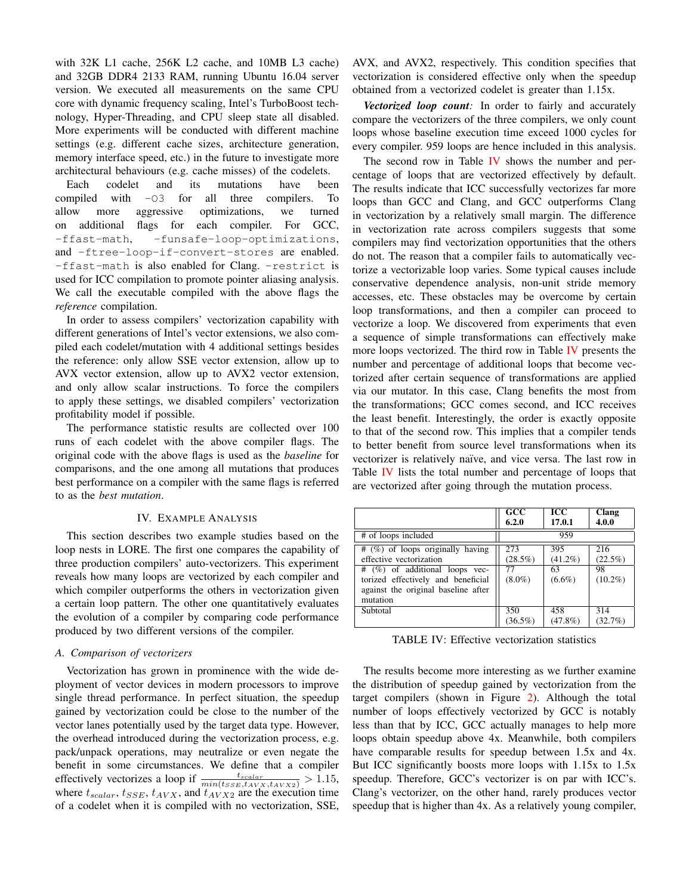with 32K L1 cache, 256K L2 cache, and 10MB L3 cache) and 32GB DDR4 2133 RAM, running Ubuntu 16.04 server version. We executed all measurements on the same CPU core with dynamic frequency scaling, Intel's TurboBoost technology, Hyper-Threading, and CPU sleep state all disabled. More experiments will be conducted with different machine settings (e.g. different cache sizes, architecture generation, memory interface speed, etc.) in the future to investigate more architectural behaviours (e.g. cache misses) of the codelets.

Each codelet and its mutations have been compiled with -O3 for all three compilers. To allow more aggressive optimizations, we turned on additional flags for each compiler. For GCC, -ffast-math, -funsafe-loop-optimizations, and -ftree-loop-if-convert-stores are enabled. -ffast-math is also enabled for Clang. -restrict is used for ICC compilation to promote pointer aliasing analysis. We call the executable compiled with the above flags the *reference* compilation.

In order to assess compilers' vectorization capability with different generations of Intel's vector extensions, we also compiled each codelet/mutation with 4 additional settings besides the reference: only allow SSE vector extension, allow up to AVX vector extension, allow up to AVX2 vector extension, and only allow scalar instructions. To force the compilers to apply these settings, we disabled compilers' vectorization profitability model if possible.

The performance statistic results are collected over 100 runs of each codelet with the above compiler flags. The original code with the above flags is used as the *baseline* for comparisons, and the one among all mutations that produces best performance on a compiler with the same flags is referred to as the *best mutation*.

#### IV. EXAMPLE ANALYSIS

<span id="page-5-0"></span>This section describes two example studies based on the loop nests in LORE. The first one compares the capability of three production compilers' auto-vectorizers. This experiment reveals how many loops are vectorized by each compiler and which compiler outperforms the others in vectorization given a certain loop pattern. The other one quantitatively evaluates the evolution of a compiler by comparing code performance produced by two different versions of the compiler.

## *A. Comparison of vectorizers*

Vectorization has grown in prominence with the wide deployment of vector devices in modern processors to improve single thread performance. In perfect situation, the speedup gained by vectorization could be close to the number of the vector lanes potentially used by the target data type. However, the overhead introduced during the vectorization process, e.g. pack/unpack operations, may neutralize or even negate the benefit in some circumstances. We define that a compiler effectively vectorizes a loop if  $\frac{t_{scalar}}{min(t_{SSE}, t_{AVX}, t_{AVX2})} > 1.15$ , where  $t_{scalar}$ ,  $t_{SSE}$ ,  $t_{AVX}$ , and  $t_{AVX2}$  are the execution time of a codelet when it is compiled with no vectorization, SSE, AVX, and AVX2, respectively. This condition specifies that vectorization is considered effective only when the speedup obtained from a vectorized codelet is greater than 1.15x.

*Vectorized loop count:* In order to fairly and accurately compare the vectorizers of the three compilers, we only count loops whose baseline execution time exceed 1000 cycles for every compiler. 959 loops are hence included in this analysis.

The second row in Table [IV](#page-5-1) shows the number and percentage of loops that are vectorized effectively by default. The results indicate that ICC successfully vectorizes far more loops than GCC and Clang, and GCC outperforms Clang in vectorization by a relatively small margin. The difference in vectorization rate across compilers suggests that some compilers may find vectorization opportunities that the others do not. The reason that a compiler fails to automatically vectorize a vectorizable loop varies. Some typical causes include conservative dependence analysis, non-unit stride memory accesses, etc. These obstacles may be overcome by certain loop transformations, and then a compiler can proceed to vectorize a loop. We discovered from experiments that even a sequence of simple transformations can effectively make more loops vectorized. The third row in Table [IV](#page-5-1) presents the number and percentage of additional loops that become vectorized after certain sequence of transformations are applied via our mutator. In this case, Clang benefits the most from the transformations; GCC comes second, and ICC receives the least benefit. Interestingly, the order is exactly opposite to that of the second row. This implies that a compiler tends to better benefit from source level transformations when its vectorizer is relatively naïve, and vice versa. The last row in Table [IV](#page-5-1) lists the total number and percentage of loops that are vectorized after going through the mutation process.

<span id="page-5-1"></span>

|                                                                                                                                                                                          | $GC$                                 | $\overline{ICC}$                     | Clang                                 |
|------------------------------------------------------------------------------------------------------------------------------------------------------------------------------------------|--------------------------------------|--------------------------------------|---------------------------------------|
|                                                                                                                                                                                          | 6.2.0                                | 17.0.1                               | 4.0.0                                 |
| # of loops included                                                                                                                                                                      |                                      | 959                                  |                                       |
| # (%) of loops originally having<br>effective vectorization<br>$#$ (%) of additional loops vec-<br>torized effectively and beneficial<br>against the original baseline after<br>mutation | 273<br>$(28.5\%)$<br>77<br>$(8.0\%)$ | 395<br>$(41.2\%)$<br>63<br>$(6.6\%)$ | 216<br>$(22.5\%)$<br>98<br>$(10.2\%)$ |
| Subtotal                                                                                                                                                                                 | 350                                  | 458                                  | 314                                   |
|                                                                                                                                                                                          | $(36.5\%)$                           | $(47.8\%)$                           | (32.7%)                               |

TABLE IV: Effective vectorization statistics

The results become more interesting as we further examine the distribution of speedup gained by vectorization from the target compilers (shown in Figure [2\)](#page-6-0). Although the total number of loops effectively vectorized by GCC is notably less than that by ICC, GCC actually manages to help more loops obtain speedup above 4x. Meanwhile, both compilers have comparable results for speedup between 1.5x and 4x. But ICC significantly boosts more loops with 1.15x to 1.5x speedup. Therefore, GCC's vectorizer is on par with ICC's. Clang's vectorizer, on the other hand, rarely produces vector speedup that is higher than 4x. As a relatively young compiler,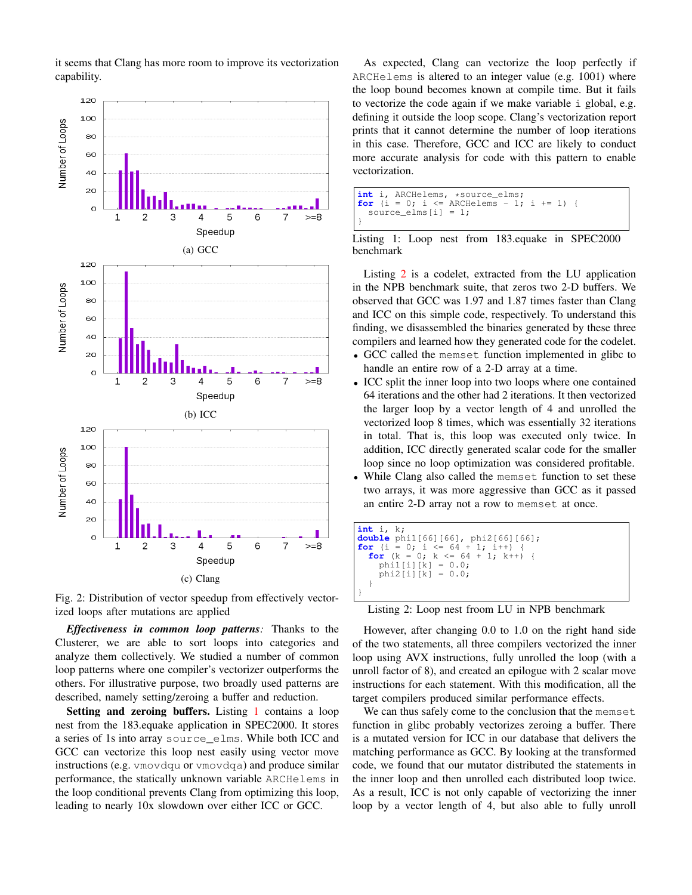<span id="page-6-0"></span>

it seems that Clang has more room to improve its vectorization capability.

Fig. 2: Distribution of vector speedup from effectively vectorized loops after mutations are applied

*Effectiveness in common loop patterns:* Thanks to the Clusterer, we are able to sort loops into categories and analyze them collectively. We studied a number of common loop patterns where one compiler's vectorizer outperforms the others. For illustrative purpose, two broadly used patterns are described, namely setting/zeroing a buffer and reduction.

Setting and zeroing buffers. Listing [1](#page-6-1) contains a loop nest from the 183.equake application in SPEC2000. It stores a series of 1s into array source\_elms. While both ICC and GCC can vectorize this loop nest easily using vector move instructions (e.g. vmovdqu or vmovdqa) and produce similar performance, the statically unknown variable ARCHelems in the loop conditional prevents Clang from optimizing this loop, leading to nearly 10x slowdown over either ICC or GCC.

As expected, Clang can vectorize the loop perfectly if ARCHelems is altered to an integer value (e.g. 1001) where the loop bound becomes known at compile time. But it fails to vectorize the code again if we make variable i global, e.g. defining it outside the loop scope. Clang's vectorization report prints that it cannot determine the number of loop iterations in this case. Therefore, GCC and ICC are likely to conduct more accurate analysis for code with this pattern to enable vectorization.

```
int i, ARCHelems, *source_elms;<br>for (i = 0; i <= ARCHelems - 1;
for (i = 0; i \leq \text{ARCHelems} - 1; i \neq 1)source_elms[i] = 1;
}
```
Listing 1: Loop nest from 183.equake in SPEC2000 benchmark

Listing [2](#page-6-2) is a codelet, extracted from the LU application in the NPB benchmark suite, that zeros two 2-D buffers. We observed that GCC was 1.97 and 1.87 times faster than Clang and ICC on this simple code, respectively. To understand this finding, we disassembled the binaries generated by these three compilers and learned how they generated code for the codelet.

- GCC called the memset function implemented in glibc to handle an entire row of a 2-D array at a time.
- ICC split the inner loop into two loops where one contained 64 iterations and the other had 2 iterations. It then vectorized the larger loop by a vector length of 4 and unrolled the vectorized loop 8 times, which was essentially 32 iterations in total. That is, this loop was executed only twice. In addition, ICC directly generated scalar code for the smaller loop since no loop optimization was considered profitable.
- While Clang also called the memset function to set these two arrays, it was more aggressive than GCC as it passed an entire 2-D array not a row to memset at once.

<span id="page-6-2"></span>**int** i, k; **double** phi1[66][66], phi2[66][66]; **for** (i = 0; i <= 64 + 1; i++) { **for** (k = 0; k <= 64 + 1; k++) { phi1[i][k] = 0.0; phi2[i][k] = 0.0; } }

Listing 2: Loop nest froom LU in NPB benchmark

However, after changing 0.0 to 1.0 on the right hand side of the two statements, all three compilers vectorized the inner loop using AVX instructions, fully unrolled the loop (with a unroll factor of 8), and created an epilogue with 2 scalar move instructions for each statement. With this modification, all the target compilers produced similar performance effects.

We can thus safely come to the conclusion that the memset function in glibc probably vectorizes zeroing a buffer. There is a mutated version for ICC in our database that delivers the matching performance as GCC. By looking at the transformed code, we found that our mutator distributed the statements in the inner loop and then unrolled each distributed loop twice. As a result, ICC is not only capable of vectorizing the inner loop by a vector length of 4, but also able to fully unroll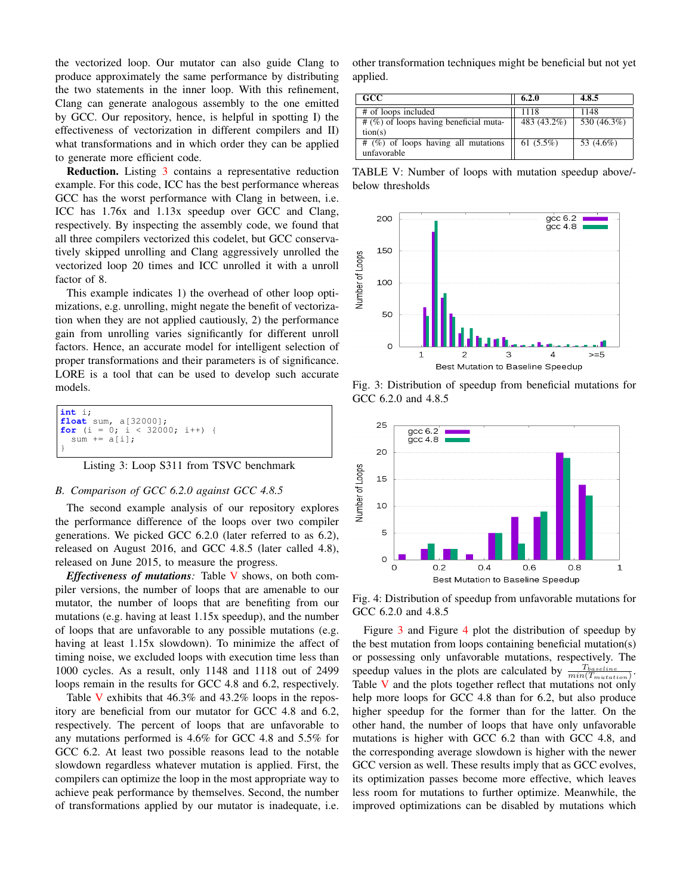the vectorized loop. Our mutator can also guide Clang to produce approximately the same performance by distributing the two statements in the inner loop. With this refinement, Clang can generate analogous assembly to the one emitted by GCC. Our repository, hence, is helpful in spotting I) the effectiveness of vectorization in different compilers and II) what transformations and in which order they can be applied to generate more efficient code.

Reduction. Listing [3](#page-7-0) contains a representative reduction example. For this code, ICC has the best performance whereas GCC has the worst performance with Clang in between, i.e. ICC has 1.76x and 1.13x speedup over GCC and Clang, respectively. By inspecting the assembly code, we found that all three compilers vectorized this codelet, but GCC conservatively skipped unrolling and Clang aggressively unrolled the vectorized loop 20 times and ICC unrolled it with a unroll factor of 8.

This example indicates 1) the overhead of other loop optimizations, e.g. unrolling, might negate the benefit of vectorization when they are not applied cautiously, 2) the performance gain from unrolling varies significantly for different unroll factors. Hence, an accurate model for intelligent selection of proper transformations and their parameters is of significance. LORE is a tool that can be used to develop such accurate models.

```
int i;
float sum, a[32000];<br>for (i = 0; i < 32000; i++)
for (i = 0; i <
  sum += a[i];
}
```
Listing 3: Loop S311 from TSVC benchmark

## *B. Comparison of GCC 6.2.0 against GCC 4.8.5*

The second example analysis of our repository explores the performance difference of the loops over two compiler generations. We picked GCC 6.2.0 (later referred to as 6.2), released on August 2016, and GCC 4.8.5 (later called 4.8), released on June 2015, to measure the progress.

*Effectiveness of mutations:* Table [V](#page-7-1) shows, on both compiler versions, the number of loops that are amenable to our mutator, the number of loops that are benefiting from our mutations (e.g. having at least 1.15x speedup), and the number of loops that are unfavorable to any possible mutations (e.g. having at least 1.15x slowdown). To minimize the affect of timing noise, we excluded loops with execution time less than 1000 cycles. As a result, only 1148 and 1118 out of 2499 loops remain in the results for GCC 4.8 and 6.2, respectively.

Table [V](#page-7-1) exhibits that  $46.3\%$  and  $43.2\%$  loops in the repository are beneficial from our mutator for GCC 4.8 and 6.2, respectively. The percent of loops that are unfavorable to any mutations performed is 4.6% for GCC 4.8 and 5.5% for GCC 6.2. At least two possible reasons lead to the notable slowdown regardless whatever mutation is applied. First, the compilers can optimize the loop in the most appropriate way to achieve peak performance by themselves. Second, the number of transformations applied by our mutator is inadequate, i.e. other transformation techniques might be beneficial but not yet applied.

<span id="page-7-1"></span>

| GCC                                      | 6.2.0        | 4.8.5       |
|------------------------------------------|--------------|-------------|
| # of loops included                      | 1118         | 1148        |
| $#$ (%) of loops having beneficial muta- | 483 (43.2%)  | 530 (46.3%) |
| tion(s)                                  |              |             |
| $#$ (%) of loops having all mutations    | 61 $(5.5\%)$ | 53 (4.6%)   |
| unfavorable                              |              |             |

TABLE V: Number of loops with mutation speedup above/ below thresholds

<span id="page-7-2"></span>

Fig. 3: Distribution of speedup from beneficial mutations for GCC 6.2.0 and 4.8.5

<span id="page-7-3"></span>

Fig. 4: Distribution of speedup from unfavorable mutations for GCC 6.2.0 and 4.8.5

Figure [3](#page-7-2) and Figure [4](#page-7-3) plot the distribution of speedup by the best mutation from loops containing beneficial mutation(s) or possessing only unfavorable mutations, respectively. The speedup values in the plots are calculated by  $\frac{T_{baseline}}{min(T_{mutation})}$ . Table [V](#page-7-1) and the plots together reflect that mutations not only help more loops for GCC 4.8 than for 6.2, but also produce higher speedup for the former than for the latter. On the other hand, the number of loops that have only unfavorable mutations is higher with GCC 6.2 than with GCC 4.8, and the corresponding average slowdown is higher with the newer GCC version as well. These results imply that as GCC evolves, its optimization passes become more effective, which leaves less room for mutations to further optimize. Meanwhile, the improved optimizations can be disabled by mutations which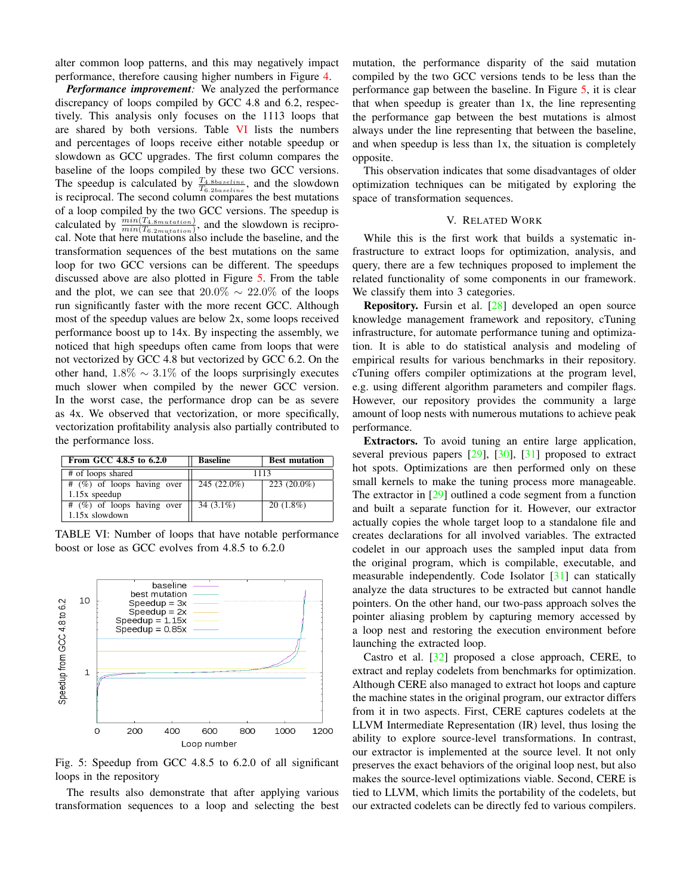alter common loop patterns, and this may negatively impact performance, therefore causing higher numbers in Figure [4.](#page-7-3)

*Performance improvement:* We analyzed the performance discrepancy of loops compiled by GCC 4.8 and 6.2, respectively. This analysis only focuses on the 1113 loops that are shared by both versions. Table [VI](#page-8-1) lists the numbers and percentages of loops receive either notable speedup or slowdown as GCC upgrades. The first column compares the baseline of the loops compiled by these two GCC versions. The speedup is calculated by  $\frac{T_{4.8baseline}}{T_{6.2baseline}}$ , and the slowdown is reciprocal. The second column compares the best mutations of a loop compiled by the two GCC versions. The speedup is calculated by  $\frac{min(T_{4.8mutation})}{min(T_{6.2mutation})}$ , and the slowdown is reciprocal. Note that here mutations also include the baseline, and the transformation sequences of the best mutations on the same loop for two GCC versions can be different. The speedups discussed above are also plotted in Figure [5.](#page-8-2) From the table and the plot, we can see that  $20.0\% \sim 22.0\%$  of the loops run significantly faster with the more recent GCC. Although most of the speedup values are below 2x, some loops received performance boost up to 14x. By inspecting the assembly, we noticed that high speedups often came from loops that were not vectorized by GCC 4.8 but vectorized by GCC 6.2. On the other hand,  $1.8\% \sim 3.1\%$  of the loops surprisingly executes much slower when compiled by the newer GCC version. In the worst case, the performance drop can be as severe as 4x. We observed that vectorization, or more specifically, vectorization profitability analysis also partially contributed to the performance loss.

<span id="page-8-1"></span>

| From GCC 4.8.5 to 6.2.0      | <b>Baseline</b> | <b>Best mutation</b> |
|------------------------------|-----------------|----------------------|
| # of loops shared            | 1113            |                      |
| $#$ (%) of loops having over | $245(22.0\%)$   | $223(20.0\%)$        |
| 1.15x speedup                |                 |                      |
| $#$ (%) of loops having over | 34 $(3.1\%)$    | $20(1.8\%)$          |
| 1.15x slowdown               |                 |                      |

TABLE VI: Number of loops that have notable performance boost or lose as GCC evolves from 4.8.5 to 6.2.0

<span id="page-8-2"></span>

Fig. 5: Speedup from GCC 4.8.5 to 6.2.0 of all significant loops in the repository

The results also demonstrate that after applying various transformation sequences to a loop and selecting the best mutation, the performance disparity of the said mutation compiled by the two GCC versions tends to be less than the performance gap between the baseline. In Figure [5,](#page-8-2) it is clear that when speedup is greater than 1x, the line representing the performance gap between the best mutations is almost always under the line representing that between the baseline, and when speedup is less than 1x, the situation is completely opposite.

This observation indicates that some disadvantages of older optimization techniques can be mitigated by exploring the space of transformation sequences.

#### V. RELATED WORK

<span id="page-8-0"></span>While this is the first work that builds a systematic infrastructure to extract loops for optimization, analysis, and query, there are a few techniques proposed to implement the related functionality of some components in our framework. We classify them into 3 categories.

Repository. Fursin et al. [\[28\]](#page-9-28) developed an open source knowledge management framework and repository, cTuning infrastructure, for automate performance tuning and optimization. It is able to do statistical analysis and modeling of empirical results for various benchmarks in their repository. cTuning offers compiler optimizations at the program level, e.g. using different algorithm parameters and compiler flags. However, our repository provides the community a large amount of loop nests with numerous mutations to achieve peak performance.

Extractors. To avoid tuning an entire large application, several previous papers  $[29]$ ,  $[30]$ ,  $[31]$  proposed to extract hot spots. Optimizations are then performed only on these small kernels to make the tuning process more manageable. The extractor in [\[29\]](#page-9-29) outlined a code segment from a function and built a separate function for it. However, our extractor actually copies the whole target loop to a standalone file and creates declarations for all involved variables. The extracted codelet in our approach uses the sampled input data from the original program, which is compilable, executable, and measurable independently. Code Isolator [\[31\]](#page-9-31) can statically analyze the data structures to be extracted but cannot handle pointers. On the other hand, our two-pass approach solves the pointer aliasing problem by capturing memory accessed by a loop nest and restoring the execution environment before launching the extracted loop.

Castro et al. [\[32\]](#page-9-32) proposed a close approach, CERE, to extract and replay codelets from benchmarks for optimization. Although CERE also managed to extract hot loops and capture the machine states in the original program, our extractor differs from it in two aspects. First, CERE captures codelets at the LLVM Intermediate Representation (IR) level, thus losing the ability to explore source-level transformations. In contrast, our extractor is implemented at the source level. It not only preserves the exact behaviors of the original loop nest, but also makes the source-level optimizations viable. Second, CERE is tied to LLVM, which limits the portability of the codelets, but our extracted codelets can be directly fed to various compilers.